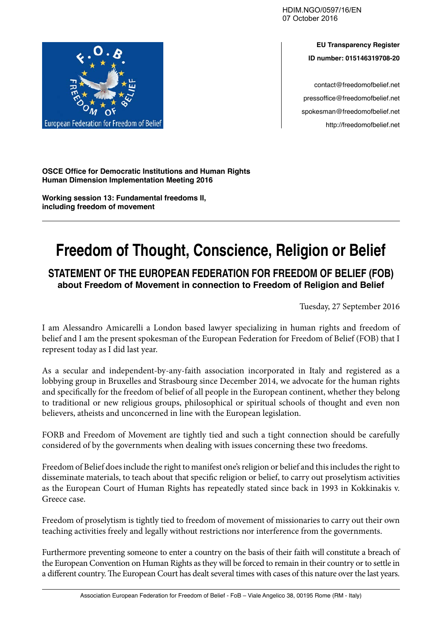HDIM.NGO/0597/16/EN 07 October 2016



contact@freedomofbelief.net pressoffice@freedomofbelief.net spokesman@freedomofbelief.net http://freedomofbelief.net



**OSCE Office for Democratic Institutions and Human Rights Human Dimension Implementation Meeting 2016**

**Working session 13: Fundamental freedoms II, including freedom of movement**

## **Freedom of Thought, Conscience, Religion or Belief**

**STATEMENT OF THE EUROPEAN FEDERATION FOR FREEDOM OF BELIEF (FOB) about Freedom of Movement in connection to Freedom of Religion and Belief**

Tuesday, 27 September 2016

I am Alessandro Amicarelli a London based lawyer specializing in human rights and freedom of belief and I am the present spokesman of the European Federation for Freedom of Belief (FOB) that I represent today as I did last year.

As a secular and independent-by-any-faith association incorporated in Italy and registered as a lobbying group in Bruxelles and Strasbourg since December 2014, we advocate for the human rights and specifically for the freedom of belief of all people in the European continent, whether they belong to traditional or new religious groups, philosophical or spiritual schools of thought and even non believers, atheists and unconcerned in line with the European legislation.

FORB and Freedom of Movement are tightly tied and such a tight connection should be carefully considered of by the governments when dealing with issues concerning these two freedoms.

Freedom of Belief does include the right to manifest one's religion or belief and this includes the right to disseminate materials, to teach about that specific religion or belief, to carry out proselytism activities as the European Court of Human Rights has repeatedly stated since back in 1993 in Kokkinakis v. Greece case.

Freedom of proselytism is tightly tied to freedom of movement of missionaries to carry out their own teaching activities freely and legally without restrictions nor interference from the governments.

Furthermore preventing someone to enter a country on the basis of their faith will constitute a breach of the European Convention on Human Rights as they will be forced to remain in their country or to settle in a different country. The European Court has dealt several times with cases of this nature over the last years.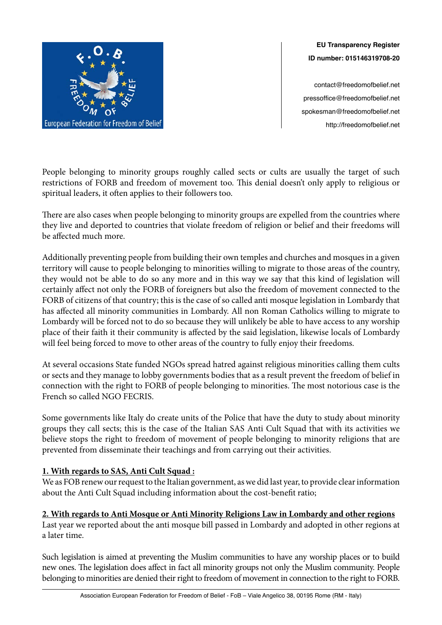

**EU Transparency Register ID number: 015146319708-20**

contact@freedomofbelief.net pressoffice@freedomofbelief.net spokesman@freedomofbelief.net http://freedomofbelief.net

People belonging to minority groups roughly called sects or cults are usually the target of such restrictions of FORB and freedom of movement too. This denial doesn't only apply to religious or spiritual leaders, it often applies to their followers too.

There are also cases when people belonging to minority groups are expelled from the countries where they live and deported to countries that violate freedom of religion or belief and their freedoms will be affected much more.

Additionally preventing people from building their own temples and churches and mosques in a given territory will cause to people belonging to minorities willing to migrate to those areas of the country, they would not be able to do so any more and in this way we say that this kind of legislation will certainly affect not only the FORB of foreigners but also the freedom of movement connected to the FORB of citizens of that country; this is the case of so called anti mosque legislation in Lombardy that has affected all minority communities in Lombardy. All non Roman Catholics willing to migrate to Lombardy will be forced not to do so because they will unlikely be able to have access to any worship place of their faith it their community is affected by the said legislation, likewise locals of Lombardy will feel being forced to move to other areas of the country to fully enjoy their freedoms.

At several occasions State funded NGOs spread hatred against religious minorities calling them cults or sects and they manage to lobby governments bodies that as a result prevent the freedom of belief in connection with the right to FORB of people belonging to minorities. The most notorious case is the French so called NGO FECRIS.

Some governments like Italy do create units of the Police that have the duty to study about minority groups they call sects; this is the case of the Italian SAS Anti Cult Squad that with its activities we believe stops the right to freedom of movement of people belonging to minority religions that are prevented from disseminate their teachings and from carrying out their activities.

## **1. With regards to SAS, Anti Cult Squad :**

We as FOB renew our request to the Italian government, as we did last year, to provide clear information about the Anti Cult Squad including information about the cost-benefit ratio;

## **2. With regards to Anti Mosque or Anti Minority Religions Law in Lombardy and other regions**

Last year we reported about the anti mosque bill passed in Lombardy and adopted in other regions at a later time.

Such legislation is aimed at preventing the Muslim communities to have any worship places or to build new ones. The legislation does affect in fact all minority groups not only the Muslim community. People belonging to minorities are denied their right to freedom of movement in connection to the right to FORB.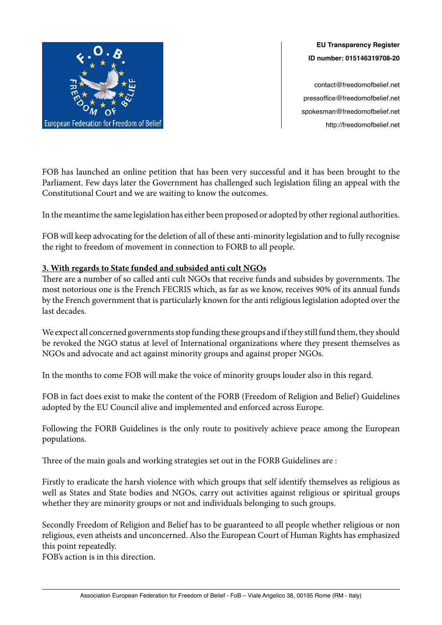

**EU Transparency Register ID number: 015146319708-20**

contact@freedomofbelief.net pressoffice@freedomofbelief.net spokesman@freedomofbelief.net http://freedomofbelief.net

FOB has launched an online petition that has been very successful and it has been brought to the Parliament. Few days later the Government has challenged such legislation filing an appeal with the Constitutional Court and we are waiting to know the outcomes.

In the meantime the same legislation has either been proposed or adopted by other regional authorities.

FOB will keep advocating for the deletion of all of these anti-minority legislation and to fully recognise the right to freedom of movement in connection to FORB to all people.

## **3. With regards to State funded and subsided anti cult NGOs**

There are a number of so called anti cult NGOs that receive funds and subsides by governments. The most notorious one is the French FECRIS which, as far as we know, receives 90% of its annual funds by the French government that is particularly known for the anti religious legislation adopted over the last decades.

We expect all concerned governments stop funding these groups and if they still fund them, they should be revoked the NGO status at level of International organizations where they present themselves as NGOs and advocate and act against minority groups and against proper NGOs.

In the months to come FOB will make the voice of minority groups louder also in this regard.

FOB in fact does exist to make the content of the FORB (Freedom of Religion and Belief) Guidelines adopted by the EU Council alive and implemented and enforced across Europe.

Following the FORB Guidelines is the only route to positively achieve peace among the European populations.

Three of the main goals and working strategies set out in the FORB Guidelines are :

Firstly to eradicate the harsh violence with which groups that self identify themselves as religious as well as States and State bodies and NGOs, carry out activities against religious or spiritual groups whether they are minority groups or not and individuals belonging to such groups.

Secondly Freedom of Religion and Belief has to be guaranteed to all people whether religious or non religious, even atheists and unconcerned. Also the European Court of Human Rights has emphasized this point repeatedly.

FOB's action is in this direction.